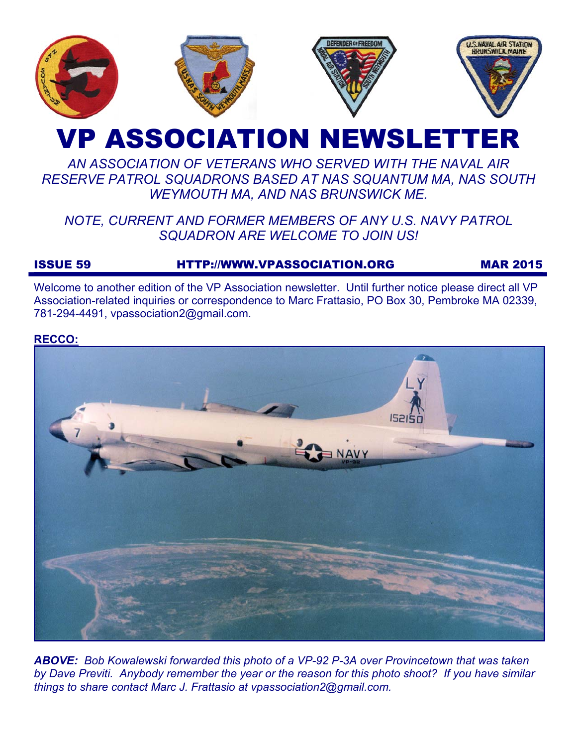

# VP ASSOCIATION NEWSLETTER

# *AN ASSOCIATION OF VETERANS WHO SERVED WITH THE NAVAL AIR RESERVE PATROL SQUADRONS BASED AT NAS SQUANTUM MA, NAS SOUTH WEYMOUTH MA, AND NAS BRUNSWICK ME.*

# *NOTE, CURRENT AND FORMER MEMBERS OF ANY U.S. NAVY PATROL SQUADRON ARE WELCOME TO JOIN US!*

# ISSUE 59 HTTP://WWW.VPASSOCIATION.ORG MAR 2015

Welcome to another edition of the VP Association newsletter. Until further notice please direct all VP Association-related inquiries or correspondence to Marc Frattasio, PO Box 30, Pembroke MA 02339, 781-294-4491, vpassociation2@gmail.com.

#### **RECCO:**



*ABOVE: Bob Kowalewski forwarded this photo of a VP-92 P-3A over Provincetown that was taken by Dave Previti. Anybody remember the year or the reason for this photo shoot? If you have similar things to share contact Marc J. Frattasio at vpassociation2@gmail.com.*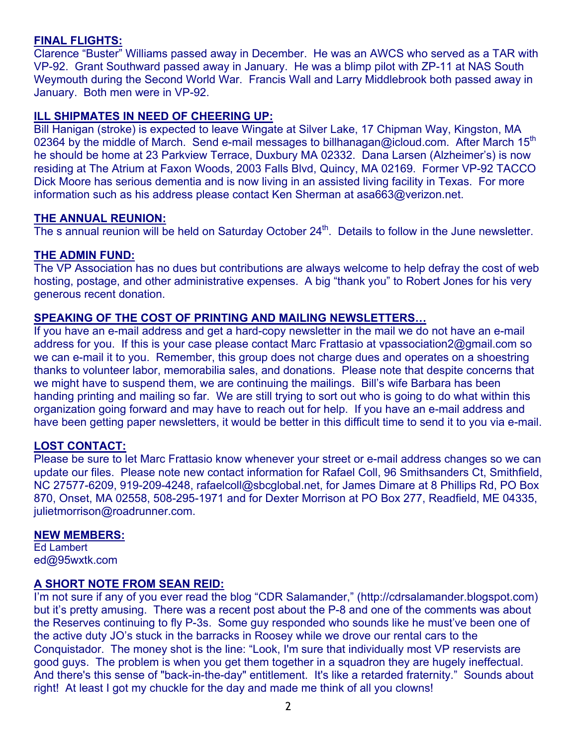### **FINAL FLIGHTS:**

Clarence "Buster" Williams passed away in December. He was an AWCS who served as a TAR with VP-92. Grant Southward passed away in January. He was a blimp pilot with ZP-11 at NAS South Weymouth during the Second World War. Francis Wall and Larry Middlebrook both passed away in January. Both men were in VP-92.

#### **ILL SHIPMATES IN NEED OF CHEERING UP:**

Bill Hanigan (stroke) is expected to leave Wingate at Silver Lake, 17 Chipman Way, Kingston, MA 02364 by the middle of March. Send e-mail messages to billhanagan@icloud.com. After March 15<sup>th</sup> he should be home at 23 Parkview Terrace, Duxbury MA 02332. Dana Larsen (Alzheimer's) is now residing at The Atrium at Faxon Woods, 2003 Falls Blvd, Quincy, MA 02169. Former VP-92 TACCO Dick Moore has serious dementia and is now living in an assisted living facility in Texas. For more information such as his address please contact Ken Sherman at asa663@verizon.net.

#### **THE ANNUAL REUNION:**

The s annual reunion will be held on Saturday October 24<sup>th</sup>. Details to follow in the June newsletter.

#### **THE ADMIN FUND:**

The VP Association has no dues but contributions are always welcome to help defray the cost of web hosting, postage, and other administrative expenses. A big "thank you" to Robert Jones for his very generous recent donation.

#### **SPEAKING OF THE COST OF PRINTING AND MAILING NEWSLETTERS…**

If you have an e-mail address and get a hard-copy newsletter in the mail we do not have an e-mail address for you. If this is your case please contact Marc Frattasio at vpassociation2@gmail.com so we can e-mail it to you. Remember, this group does not charge dues and operates on a shoestring thanks to volunteer labor, memorabilia sales, and donations. Please note that despite concerns that we might have to suspend them, we are continuing the mailings. Bill's wife Barbara has been handing printing and mailing so far. We are still trying to sort out who is going to do what within this organization going forward and may have to reach out for help. If you have an e-mail address and have been getting paper newsletters, it would be better in this difficult time to send it to you via e-mail.

#### **LOST CONTACT:**

Please be sure to let Marc Frattasio know whenever your street or e-mail address changes so we can update our files. Please note new contact information for Rafael Coll, 96 Smithsanders Ct, Smithfield, NC 27577-6209, 919-209-4248, rafaelcoll@sbcglobal.net, for James Dimare at 8 Phillips Rd, PO Box 870, Onset, MA 02558, 508-295-1971 and for Dexter Morrison at PO Box 277, Readfield, ME 04335, julietmorrison@roadrunner.com.

#### **NEW MEMBERS:**

Ed Lambert ed@95wxtk.com

#### **A SHORT NOTE FROM SEAN REID:**

I'm not sure if any of you ever read the blog "CDR Salamander," (http://cdrsalamander.blogspot.com) but it's pretty amusing. There was a recent post about the P-8 and one of the comments was about the Reserves continuing to fly P-3s. Some guy responded who sounds like he must've been one of the active duty JO's stuck in the barracks in Roosey while we drove our rental cars to the Conquistador. The money shot is the line: "Look, I'm sure that individually most VP reservists are good guys. The problem is when you get them together in a squadron they are hugely ineffectual. And there's this sense of "back-in-the-day" entitlement. It's like a retarded fraternity." Sounds about right! At least I got my chuckle for the day and made me think of all you clowns!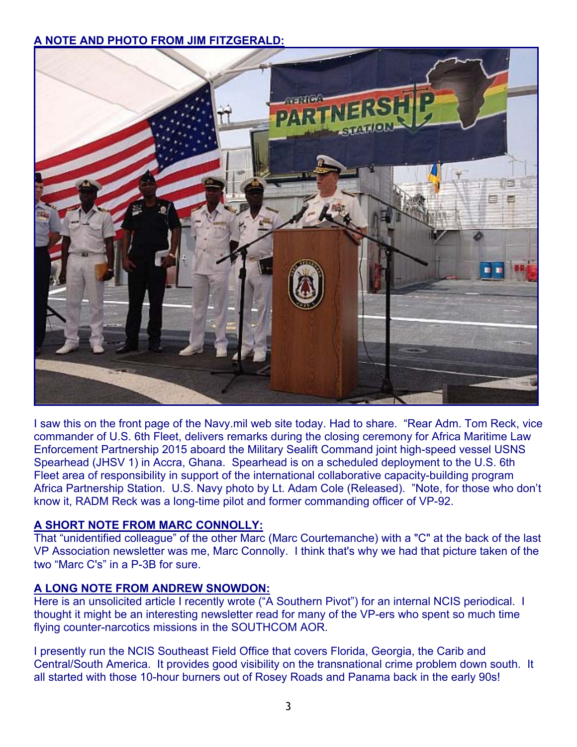**A NOTE AND PHOTO FROM JIM FITZGERALD:**



I saw this on the front page of the Navy.mil web site today. Had to share. "Rear Adm. Tom Reck, vice commander of U.S. 6th Fleet, delivers remarks during the closing ceremony for Africa Maritime Law Enforcement Partnership 2015 aboard the Military Sealift Command joint high-speed vessel USNS Spearhead (JHSV 1) in Accra, Ghana. Spearhead is on a scheduled deployment to the U.S. 6th Fleet area of responsibility in support of the international collaborative capacity-building program Africa Partnership Station. U.S. Navy photo by Lt. Adam Cole (Released). "Note, for those who don't know it, RADM Reck was a long-time pilot and former commanding officer of VP-92.

# **A SHORT NOTE FROM MARC CONNOLLY:**

That "unidentified colleague" of the other Marc (Marc Courtemanche) with a "C" at the back of the last VP Association newsletter was me, Marc Connolly. I think that's why we had that picture taken of the two "Marc C's" in a P-3B for sure.

# **A LONG NOTE FROM ANDREW SNOWDON:**

Here is an unsolicited article I recently wrote ("A Southern Pivot") for an internal NCIS periodical. I thought it might be an interesting newsletter read for many of the VP-ers who spent so much time flying counter-narcotics missions in the SOUTHCOM AOR.

I presently run the NCIS Southeast Field Office that covers Florida, Georgia, the Carib and Central/South America. It provides good visibility on the transnational crime problem down south. It all started with those 10-hour burners out of Rosey Roads and Panama back in the early 90s!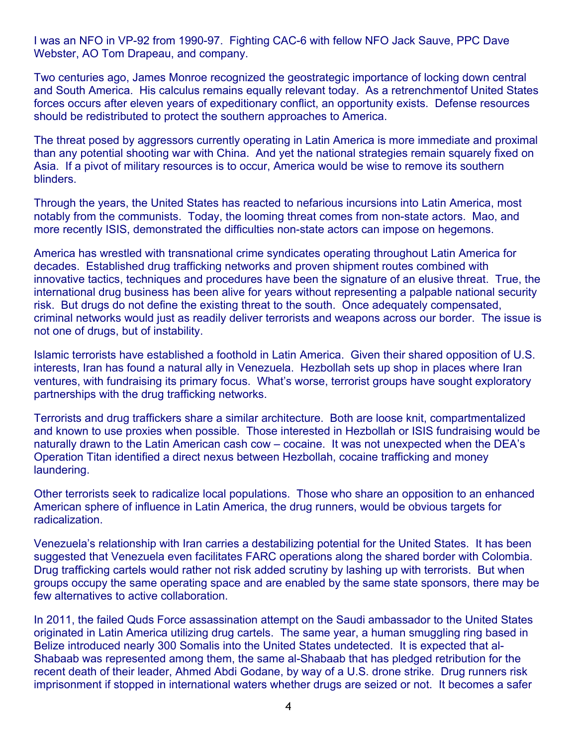I was an NFO in VP-92 from 1990-97. Fighting CAC-6 with fellow NFO Jack Sauve, PPC Dave Webster, AO Tom Drapeau, and company.

Two centuries ago, James Monroe recognized the geostrategic importance of locking down central and South America. His calculus remains equally relevant today. As a retrenchmentof United States forces occurs after eleven years of expeditionary conflict, an opportunity exists. Defense resources should be redistributed to protect the southern approaches to America.

The threat posed by aggressors currently operating in Latin America is more immediate and proximal than any potential shooting war with China. And yet the national strategies remain squarely fixed on Asia. If a pivot of military resources is to occur, America would be wise to remove its southern blinders.

Through the years, the United States has reacted to nefarious incursions into Latin America, most notably from the communists. Today, the looming threat comes from non-state actors. Mao, and more recently ISIS, demonstrated the difficulties non-state actors can impose on hegemons.

America has wrestled with transnational crime syndicates operating throughout Latin America for decades. Established drug trafficking networks and proven shipment routes combined with innovative tactics, techniques and procedures have been the signature of an elusive threat. True, the international drug business has been alive for years without representing a palpable national security risk. But drugs do not define the existing threat to the south. Once adequately compensated, criminal networks would just as readily deliver terrorists and weapons across our border. The issue is not one of drugs, but of instability.

Islamic terrorists have established a foothold in Latin America. Given their shared opposition of U.S. interests, Iran has found a natural ally in Venezuela. Hezbollah sets up shop in places where Iran ventures, with fundraising its primary focus. What's worse, terrorist groups have sought exploratory partnerships with the drug trafficking networks.

Terrorists and drug traffickers share a similar architecture. Both are loose knit, compartmentalized and known to use proxies when possible. Those interested in Hezbollah or ISIS fundraising would be naturally drawn to the Latin American cash cow – cocaine. It was not unexpected when the DEA's Operation Titan identified a direct nexus between Hezbollah, cocaine trafficking and money laundering.

Other terrorists seek to radicalize local populations. Those who share an opposition to an enhanced American sphere of influence in Latin America, the drug runners, would be obvious targets for radicalization.

Venezuela's relationship with Iran carries a destabilizing potential for the United States. It has been suggested that Venezuela even facilitates FARC operations along the shared border with Colombia. Drug trafficking cartels would rather not risk added scrutiny by lashing up with terrorists. But when groups occupy the same operating space and are enabled by the same state sponsors, there may be few alternatives to active collaboration.

In 2011, the failed Quds Force assassination attempt on the Saudi ambassador to the United States originated in Latin America utilizing drug cartels. The same year, a human smuggling ring based in Belize introduced nearly 300 Somalis into the United States undetected. It is expected that al-Shabaab was represented among them, the same al-Shabaab that has pledged retribution for the recent death of their leader, Ahmed Abdi Godane, by way of a U.S. drone strike. Drug runners risk imprisonment if stopped in international waters whether drugs are seized or not. It becomes a safer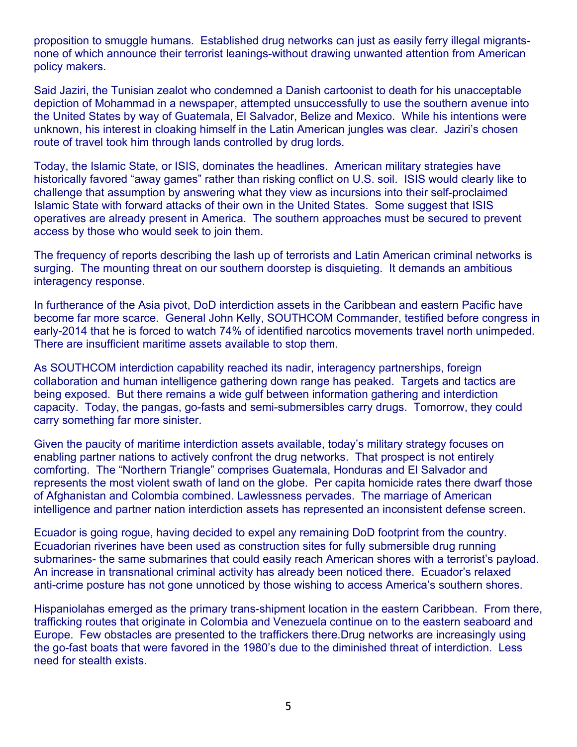proposition to smuggle humans. Established drug networks can just as easily ferry illegal migrantsnone of which announce their terrorist leanings-without drawing unwanted attention from American policy makers.

Said Jaziri, the Tunisian zealot who condemned a Danish cartoonist to death for his unacceptable depiction of Mohammad in a newspaper, attempted unsuccessfully to use the southern avenue into the United States by way of Guatemala, El Salvador, Belize and Mexico. While his intentions were unknown, his interest in cloaking himself in the Latin American jungles was clear. Jaziri's chosen route of travel took him through lands controlled by drug lords.

Today, the Islamic State, or ISIS, dominates the headlines. American military strategies have historically favored "away games" rather than risking conflict on U.S. soil. ISIS would clearly like to challenge that assumption by answering what they view as incursions into their self-proclaimed Islamic State with forward attacks of their own in the United States. Some suggest that ISIS operatives are already present in America. The southern approaches must be secured to prevent access by those who would seek to join them.

The frequency of reports describing the lash up of terrorists and Latin American criminal networks is surging. The mounting threat on our southern doorstep is disquieting. It demands an ambitious interagency response.

In furtherance of the Asia pivot, DoD interdiction assets in the Caribbean and eastern Pacific have become far more scarce. General John Kelly, SOUTHCOM Commander, testified before congress in early-2014 that he is forced to watch 74% of identified narcotics movements travel north unimpeded. There are insufficient maritime assets available to stop them.

As SOUTHCOM interdiction capability reached its nadir, interagency partnerships, foreign collaboration and human intelligence gathering down range has peaked. Targets and tactics are being exposed. But there remains a wide gulf between information gathering and interdiction capacity. Today, the pangas, go-fasts and semi-submersibles carry drugs. Tomorrow, they could carry something far more sinister.

Given the paucity of maritime interdiction assets available, today's military strategy focuses on enabling partner nations to actively confront the drug networks. That prospect is not entirely comforting. The "Northern Triangle" comprises Guatemala, Honduras and El Salvador and represents the most violent swath of land on the globe. Per capita homicide rates there dwarf those of Afghanistan and Colombia combined. Lawlessness pervades. The marriage of American intelligence and partner nation interdiction assets has represented an inconsistent defense screen.

Ecuador is going rogue, having decided to expel any remaining DoD footprint from the country. Ecuadorian riverines have been used as construction sites for fully submersible drug running submarines- the same submarines that could easily reach American shores with a terrorist's payload. An increase in transnational criminal activity has already been noticed there. Ecuador's relaxed anti-crime posture has not gone unnoticed by those wishing to access America's southern shores.

Hispaniolahas emerged as the primary trans-shipment location in the eastern Caribbean. From there, trafficking routes that originate in Colombia and Venezuela continue on to the eastern seaboard and Europe. Few obstacles are presented to the traffickers there.Drug networks are increasingly using the go-fast boats that were favored in the 1980's due to the diminished threat of interdiction. Less need for stealth exists.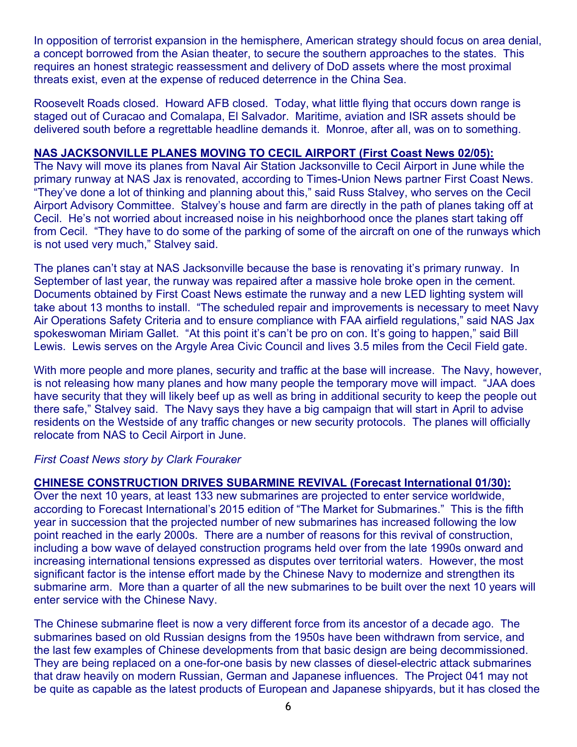In opposition of terrorist expansion in the hemisphere, American strategy should focus on area denial, a concept borrowed from the Asian theater, to secure the southern approaches to the states. This requires an honest strategic reassessment and delivery of DoD assets where the most proximal threats exist, even at the expense of reduced deterrence in the China Sea.

Roosevelt Roads closed. Howard AFB closed. Today, what little flying that occurs down range is staged out of Curacao and Comalapa, El Salvador. Maritime, aviation and ISR assets should be delivered south before a regrettable headline demands it. Monroe, after all, was on to something.

#### **NAS JACKSONVILLE PLANES MOVING TO CECIL AIRPORT (First Coast News 02/05):**

The Navy will move its planes from Naval Air Station Jacksonville to Cecil Airport in June while the primary runway at NAS Jax is renovated, according to Times-Union News partner First Coast News. "They've done a lot of thinking and planning about this," said Russ Stalvey, who serves on the Cecil Airport Advisory Committee. Stalvey's house and farm are directly in the path of planes taking off at Cecil. He's not worried about increased noise in his neighborhood once the planes start taking off from Cecil. "They have to do some of the parking of some of the aircraft on one of the runways which is not used very much," Stalvey said.

The planes can't stay at NAS Jacksonville because the base is renovating it's primary runway. In September of last year, the runway was repaired after a massive hole broke open in the cement. Documents obtained by First Coast News estimate the runway and a new LED lighting system will take about 13 months to install. "The scheduled repair and improvements is necessary to meet Navy Air Operations Safety Criteria and to ensure compliance with FAA airfield regulations," said NAS Jax spokeswoman Miriam Gallet. "At this point it's can't be pro on con. It's going to happen," said Bill Lewis. Lewis serves on the Argyle Area Civic Council and lives 3.5 miles from the Cecil Field gate.

With more people and more planes, security and traffic at the base will increase. The Navy, however, is not releasing how many planes and how many people the temporary move will impact. "JAA does have security that they will likely beef up as well as bring in additional security to keep the people out there safe," Stalvey said. The Navy says they have a big campaign that will start in April to advise residents on the Westside of any traffic changes or new security protocols. The planes will officially relocate from NAS to Cecil Airport in June.

#### *First Coast News story by Clark Fouraker*

#### **CHINESE CONSTRUCTION DRIVES SUBARMINE REVIVAL (Forecast International 01/30):**

Over the next 10 years, at least 133 new submarines are projected to enter service worldwide, according to Forecast International's 2015 edition of "The Market for Submarines." This is the fifth year in succession that the projected number of new submarines has increased following the low point reached in the early 2000s. There are a number of reasons for this revival of construction, including a bow wave of delayed construction programs held over from the late 1990s onward and increasing international tensions expressed as disputes over territorial waters. However, the most significant factor is the intense effort made by the Chinese Navy to modernize and strengthen its submarine arm. More than a quarter of all the new submarines to be built over the next 10 years will enter service with the Chinese Navy.

The Chinese submarine fleet is now a very different force from its ancestor of a decade ago. The submarines based on old Russian designs from the 1950s have been withdrawn from service, and the last few examples of Chinese developments from that basic design are being decommissioned. They are being replaced on a one-for-one basis by new classes of diesel-electric attack submarines that draw heavily on modern Russian, German and Japanese influences. The Project 041 may not be quite as capable as the latest products of European and Japanese shipyards, but it has closed the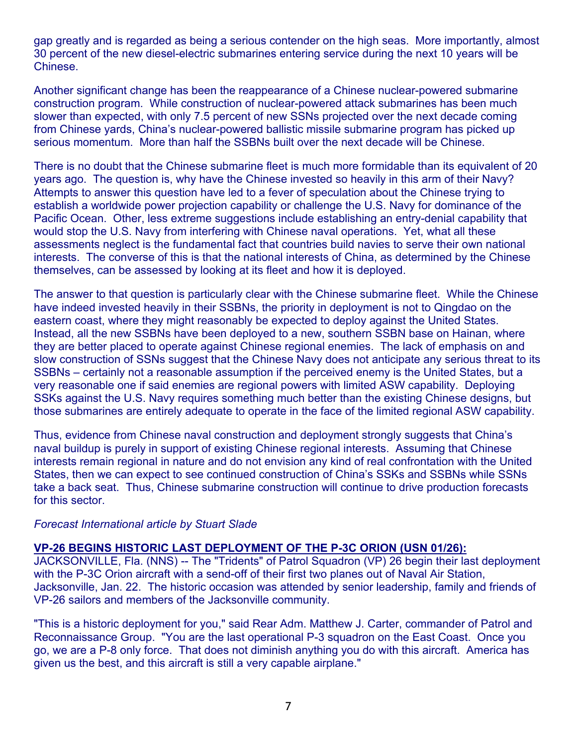gap greatly and is regarded as being a serious contender on the high seas. More importantly, almost 30 percent of the new diesel-electric submarines entering service during the next 10 years will be Chinese.

Another significant change has been the reappearance of a Chinese nuclear-powered submarine construction program. While construction of nuclear-powered attack submarines has been much slower than expected, with only 7.5 percent of new SSNs projected over the next decade coming from Chinese yards, China's nuclear-powered ballistic missile submarine program has picked up serious momentum. More than half the SSBNs built over the next decade will be Chinese.

There is no doubt that the Chinese submarine fleet is much more formidable than its equivalent of 20 years ago. The question is, why have the Chinese invested so heavily in this arm of their Navy? Attempts to answer this question have led to a fever of speculation about the Chinese trying to establish a worldwide power projection capability or challenge the U.S. Navy for dominance of the Pacific Ocean. Other, less extreme suggestions include establishing an entry-denial capability that would stop the U.S. Navy from interfering with Chinese naval operations. Yet, what all these assessments neglect is the fundamental fact that countries build navies to serve their own national interests. The converse of this is that the national interests of China, as determined by the Chinese themselves, can be assessed by looking at its fleet and how it is deployed.

The answer to that question is particularly clear with the Chinese submarine fleet. While the Chinese have indeed invested heavily in their SSBNs, the priority in deployment is not to Qingdao on the eastern coast, where they might reasonably be expected to deploy against the United States. Instead, all the new SSBNs have been deployed to a new, southern SSBN base on Hainan, where they are better placed to operate against Chinese regional enemies. The lack of emphasis on and slow construction of SSNs suggest that the Chinese Navy does not anticipate any serious threat to its SSBNs – certainly not a reasonable assumption if the perceived enemy is the United States, but a very reasonable one if said enemies are regional powers with limited ASW capability. Deploying SSKs against the U.S. Navy requires something much better than the existing Chinese designs, but those submarines are entirely adequate to operate in the face of the limited regional ASW capability.

Thus, evidence from Chinese naval construction and deployment strongly suggests that China's naval buildup is purely in support of existing Chinese regional interests. Assuming that Chinese interests remain regional in nature and do not envision any kind of real confrontation with the United States, then we can expect to see continued construction of China's SSKs and SSBNs while SSNs take a back seat. Thus, Chinese submarine construction will continue to drive production forecasts for this sector.

#### *Forecast International article by Stuart Slade*

#### **VP-26 BEGINS HISTORIC LAST DEPLOYMENT OF THE P-3C ORION (USN 01/26):**

JACKSONVILLE, Fla. (NNS) -- The "Tridents" of Patrol Squadron (VP) 26 begin their last deployment with the P-3C Orion aircraft with a send-off of their first two planes out of Naval Air Station, Jacksonville, Jan. 22. The historic occasion was attended by senior leadership, family and friends of VP-26 sailors and members of the Jacksonville community.

"This is a historic deployment for you," said Rear Adm. Matthew J. Carter, commander of Patrol and Reconnaissance Group. "You are the last operational P-3 squadron on the East Coast. Once you go, we are a P-8 only force. That does not diminish anything you do with this aircraft. America has given us the best, and this aircraft is still a very capable airplane."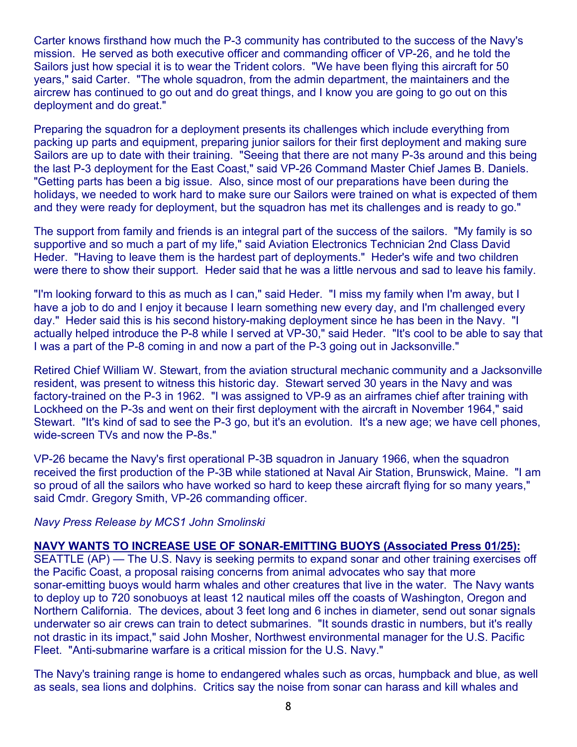Carter knows firsthand how much the P-3 community has contributed to the success of the Navy's mission. He served as both executive officer and commanding officer of VP-26, and he told the Sailors just how special it is to wear the Trident colors. "We have been flying this aircraft for 50 years," said Carter. "The whole squadron, from the admin department, the maintainers and the aircrew has continued to go out and do great things, and I know you are going to go out on this deployment and do great."

Preparing the squadron for a deployment presents its challenges which include everything from packing up parts and equipment, preparing junior sailors for their first deployment and making sure Sailors are up to date with their training. "Seeing that there are not many P-3s around and this being the last P-3 deployment for the East Coast," said VP-26 Command Master Chief James B. Daniels. "Getting parts has been a big issue. Also, since most of our preparations have been during the holidays, we needed to work hard to make sure our Sailors were trained on what is expected of them and they were ready for deployment, but the squadron has met its challenges and is ready to go."

The support from family and friends is an integral part of the success of the sailors. "My family is so supportive and so much a part of my life," said Aviation Electronics Technician 2nd Class David Heder. "Having to leave them is the hardest part of deployments." Heder's wife and two children were there to show their support. Heder said that he was a little nervous and sad to leave his family.

"I'm looking forward to this as much as I can," said Heder. "I miss my family when I'm away, but I have a job to do and I enjoy it because I learn something new every day, and I'm challenged every day." Heder said this is his second history-making deployment since he has been in the Navy. "I actually helped introduce the P-8 while I served at VP-30," said Heder. "It's cool to be able to say that I was a part of the P-8 coming in and now a part of the P-3 going out in Jacksonville."

Retired Chief William W. Stewart, from the aviation structural mechanic community and a Jacksonville resident, was present to witness this historic day. Stewart served 30 years in the Navy and was factory-trained on the P-3 in 1962. "I was assigned to VP-9 as an airframes chief after training with Lockheed on the P-3s and went on their first deployment with the aircraft in November 1964," said Stewart. "It's kind of sad to see the P-3 go, but it's an evolution. It's a new age; we have cell phones, wide-screen TVs and now the P-8s."

VP-26 became the Navy's first operational P-3B squadron in January 1966, when the squadron received the first production of the P-3B while stationed at Naval Air Station, Brunswick, Maine. "I am so proud of all the sailors who have worked so hard to keep these aircraft flying for so many years," said Cmdr. Gregory Smith, VP-26 commanding officer.

#### *Navy Press Release by MCS1 John Smolinski*

#### **NAVY WANTS TO INCREASE USE OF SONAR-EMITTING BUOYS (Associated Press 01/25):**

SEATTLE (AP) — The U.S. Navy is seeking permits to expand sonar and other training exercises off the Pacific Coast, a proposal raising concerns from animal advocates who say that more sonar-emitting buoys would harm whales and other creatures that live in the water. The Navy wants to deploy up to 720 sonobuoys at least 12 nautical miles off the coasts of Washington, Oregon and Northern California. The devices, about 3 feet long and 6 inches in diameter, send out sonar signals underwater so air crews can train to detect submarines. "It sounds drastic in numbers, but it's really not drastic in its impact," said John Mosher, Northwest environmental manager for the U.S. Pacific Fleet. "Anti-submarine warfare is a critical mission for the U.S. Navy."

The Navy's training range is home to endangered whales such as orcas, humpback and blue, as well as seals, sea lions and dolphins. Critics say the noise from sonar can harass and kill whales and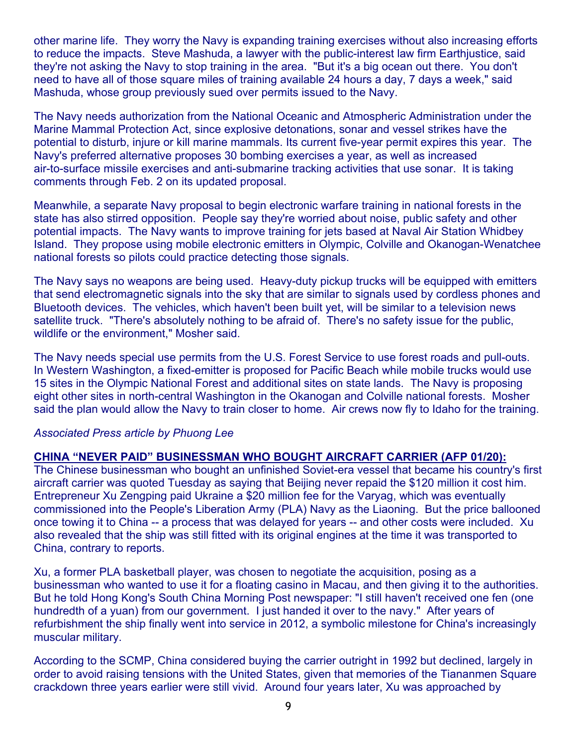other marine life. They worry the Navy is expanding training exercises without also increasing efforts to reduce the impacts. Steve Mashuda, a lawyer with the public-interest law firm Earthjustice, said they're not asking the Navy to stop training in the area. "But it's a big ocean out there. You don't need to have all of those square miles of training available 24 hours a day, 7 days a week," said Mashuda, whose group previously sued over permits issued to the Navy.

The Navy needs authorization from the National Oceanic and Atmospheric Administration under the Marine Mammal Protection Act, since explosive detonations, sonar and vessel strikes have the potential to disturb, injure or kill marine mammals. Its current five-year permit expires this year. The Navy's preferred alternative proposes 30 bombing exercises a year, as well as increased air-to-surface missile exercises and anti-submarine tracking activities that use sonar. It is taking comments through Feb. 2 on its updated proposal.

Meanwhile, a separate Navy proposal to begin electronic warfare training in national forests in the state has also stirred opposition. People say they're worried about noise, public safety and other potential impacts. The Navy wants to improve training for jets based at Naval Air Station Whidbey Island. They propose using mobile electronic emitters in Olympic, Colville and Okanogan-Wenatchee national forests so pilots could practice detecting those signals.

The Navy says no weapons are being used. Heavy-duty pickup trucks will be equipped with emitters that send electromagnetic signals into the sky that are similar to signals used by cordless phones and Bluetooth devices. The vehicles, which haven't been built yet, will be similar to a television news satellite truck. "There's absolutely nothing to be afraid of. There's no safety issue for the public, wildlife or the environment," Mosher said.

The Navy needs special use permits from the U.S. Forest Service to use forest roads and pull-outs. In Western Washington, a fixed-emitter is proposed for Pacific Beach while mobile trucks would use 15 sites in the Olympic National Forest and additional sites on state lands. The Navy is proposing eight other sites in north-central Washington in the Okanogan and Colville national forests. Mosher said the plan would allow the Navy to train closer to home. Air crews now fly to Idaho for the training.

#### *Associated Press article by Phuong Lee*

#### **CHINA "NEVER PAID" BUSINESSMAN WHO BOUGHT AIRCRAFT CARRIER (AFP 01/20):**

The Chinese businessman who bought an unfinished Soviet-era vessel that became his country's first aircraft carrier was quoted Tuesday as saying that Beijing never repaid the \$120 million it cost him. Entrepreneur Xu Zengping paid Ukraine a \$20 million fee for the Varyag, which was eventually commissioned into the People's Liberation Army (PLA) Navy as the Liaoning. But the price ballooned once towing it to China -- a process that was delayed for years -- and other costs were included. Xu also revealed that the ship was still fitted with its original engines at the time it was transported to China, contrary to reports.

Xu, a former PLA basketball player, was chosen to negotiate the acquisition, posing as a businessman who wanted to use it for a floating casino in Macau, and then giving it to the authorities. But he told Hong Kong's South China Morning Post newspaper: "I still haven't received one fen (one hundredth of a yuan) from our government. I just handed it over to the navy." After years of refurbishment the ship finally went into service in 2012, a symbolic milestone for China's increasingly muscular military.

According to the SCMP, China considered buying the carrier outright in 1992 but declined, largely in order to avoid raising tensions with the United States, given that memories of the Tiananmen Square crackdown three years earlier were still vivid. Around four years later, Xu was approached by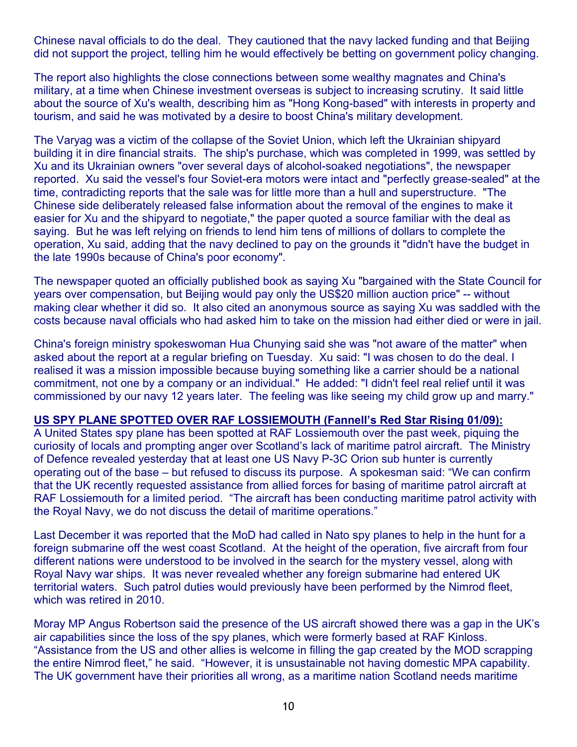Chinese naval officials to do the deal. They cautioned that the navy lacked funding and that Beijing did not support the project, telling him he would effectively be betting on government policy changing.

The report also highlights the close connections between some wealthy magnates and China's military, at a time when Chinese investment overseas is subject to increasing scrutiny. It said little about the source of Xu's wealth, describing him as "Hong Kong-based" with interests in property and tourism, and said he was motivated by a desire to boost China's military development.

The Varyag was a victim of the collapse of the Soviet Union, which left the Ukrainian shipyard building it in dire financial straits. The ship's purchase, which was completed in 1999, was settled by Xu and its Ukrainian owners "over several days of alcohol-soaked negotiations", the newspaper reported. Xu said the vessel's four Soviet-era motors were intact and "perfectly grease-sealed" at the time, contradicting reports that the sale was for little more than a hull and superstructure. "The Chinese side deliberately released false information about the removal of the engines to make it easier for Xu and the shipyard to negotiate," the paper quoted a source familiar with the deal as saying. But he was left relying on friends to lend him tens of millions of dollars to complete the operation, Xu said, adding that the navy declined to pay on the grounds it "didn't have the budget in the late 1990s because of China's poor economy".

The newspaper quoted an officially published book as saying Xu "bargained with the State Council for years over compensation, but Beijing would pay only the US\$20 million auction price" -- without making clear whether it did so. It also cited an anonymous source as saying Xu was saddled with the costs because naval officials who had asked him to take on the mission had either died or were in jail.

China's foreign ministry spokeswoman Hua Chunying said she was "not aware of the matter" when asked about the report at a regular briefing on Tuesday. Xu said: "I was chosen to do the deal. I realised it was a mission impossible because buying something like a carrier should be a national commitment, not one by a company or an individual." He added: "I didn't feel real relief until it was commissioned by our navy 12 years later. The feeling was like seeing my child grow up and marry."

#### **US SPY PLANE SPOTTED OVER RAF LOSSIEMOUTH (Fannell's Red Star Rising 01/09):**

A United States spy plane has been spotted at RAF Lossiemouth over the past week, piquing the curiosity of locals and prompting anger over Scotland's lack of maritime patrol aircraft. The Ministry of Defence revealed yesterday that at least one US Navy P-3C Orion sub hunter is currently operating out of the base – but refused to discuss its purpose. A spokesman said: "We can confirm that the UK recently requested assistance from allied forces for basing of maritime patrol aircraft at RAF Lossiemouth for a limited period. "The aircraft has been conducting maritime patrol activity with the Royal Navy, we do not discuss the detail of maritime operations."

Last December it was reported that the MoD had called in Nato spy planes to help in the hunt for a foreign submarine off the west coast Scotland. At the height of the operation, five aircraft from four different nations were understood to be involved in the search for the mystery vessel, along with Royal Navy war ships. It was never revealed whether any foreign submarine had entered UK territorial waters. Such patrol duties would previously have been performed by the Nimrod fleet, which was retired in 2010.

Moray MP Angus Robertson said the presence of the US aircraft showed there was a gap in the UK's air capabilities since the loss of the spy planes, which were formerly based at RAF Kinloss. "Assistance from the US and other allies is welcome in filling the gap created by the MOD scrapping the entire Nimrod fleet," he said. "However, it is unsustainable not having domestic MPA capability. The UK government have their priorities all wrong, as a maritime nation Scotland needs maritime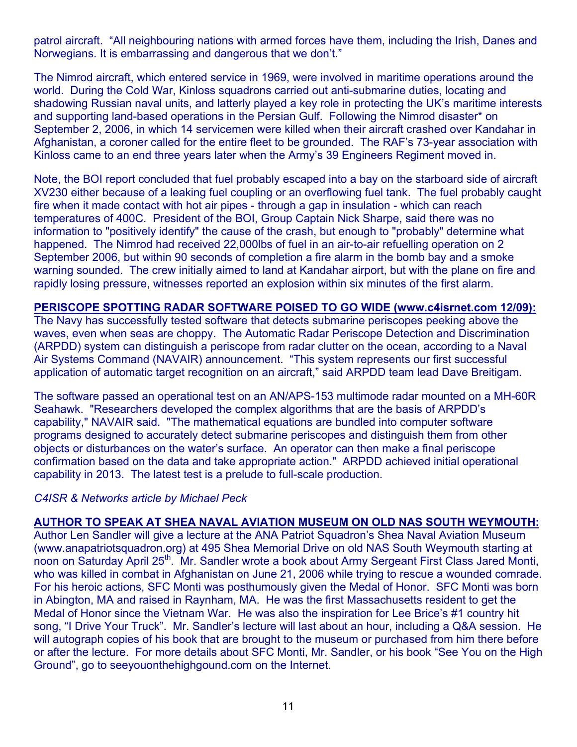patrol aircraft. "All neighbouring nations with armed forces have them, including the Irish, Danes and Norwegians. It is embarrassing and dangerous that we don't."

The Nimrod aircraft, which entered service in 1969, were involved in maritime operations around the world. During the Cold War, Kinloss squadrons carried out anti-submarine duties, locating and shadowing Russian naval units, and latterly played a key role in protecting the UK's maritime interests and supporting land-based operations in the Persian Gulf. Following the Nimrod disaster\* on September 2, 2006, in which 14 servicemen were killed when their aircraft crashed over Kandahar in Afghanistan, a coroner called for the entire fleet to be grounded. The RAF's 73-year association with Kinloss came to an end three years later when the Army's 39 Engineers Regiment moved in.

Note, the BOI report concluded that fuel probably escaped into a bay on the starboard side of aircraft XV230 either because of a leaking fuel coupling or an overflowing fuel tank. The fuel probably caught fire when it made contact with hot air pipes - through a gap in insulation - which can reach temperatures of 400C. President of the BOI, Group Captain Nick Sharpe, said there was no information to "positively identify" the cause of the crash, but enough to "probably" determine what happened. The Nimrod had received 22,000lbs of fuel in an air-to-air refuelling operation on 2 September 2006, but within 90 seconds of completion a fire alarm in the bomb bay and a smoke warning sounded. The crew initially aimed to land at Kandahar airport, but with the plane on fire and rapidly losing pressure, witnesses reported an explosion within six minutes of the first alarm.

#### **PERISCOPE SPOTTING RADAR SOFTWARE POISED TO GO WIDE (www.c4isrnet.com 12/09):**

The Navy has successfully tested software that detects submarine periscopes peeking above the waves, even when seas are choppy. The Automatic Radar Periscope Detection and Discrimination (ARPDD) system can distinguish a periscope from radar clutter on the ocean, according to a Naval Air Systems Command (NAVAIR) announcement. "This system represents our first successful application of automatic target recognition on an aircraft," said ARPDD team lead Dave Breitigam.

The software passed an operational test on an AN/APS-153 multimode radar mounted on a MH-60R Seahawk. "Researchers developed the complex algorithms that are the basis of ARPDD's capability," NAVAIR said. "The mathematical equations are bundled into computer software programs designed to accurately detect submarine periscopes and distinguish them from other objects or disturbances on the water's surface. An operator can then make a final periscope confirmation based on the data and take appropriate action." ARPDD achieved initial operational capability in 2013. The latest test is a prelude to full-scale production.

#### *C4ISR & Networks article by Michael Peck*

#### **AUTHOR TO SPEAK AT SHEA NAVAL AVIATION MUSEUM ON OLD NAS SOUTH WEYMOUTH:**

Author Len Sandler will give a lecture at the ANA Patriot Squadron's Shea Naval Aviation Museum (www.anapatriotsquadron.org) at 495 Shea Memorial Drive on old NAS South Weymouth starting at noon on Saturday April 25<sup>th</sup>. Mr. Sandler wrote a book about Army Sergeant First Class Jared Monti, who was killed in combat in Afghanistan on June 21, 2006 while trying to rescue a wounded comrade. For his heroic actions, SFC Monti was posthumously given the Medal of Honor. SFC Monti was born in Abington, MA and raised in Raynham, MA. He was the first Massachusetts resident to get the Medal of Honor since the Vietnam War. He was also the inspiration for Lee Brice's #1 country hit song, "I Drive Your Truck". Mr. Sandler's lecture will last about an hour, including a Q&A session. He will autograph copies of his book that are brought to the museum or purchased from him there before or after the lecture. For more details about SFC Monti, Mr. Sandler, or his book "See You on the High Ground", go to seeyouonthehighgound.com on the Internet.